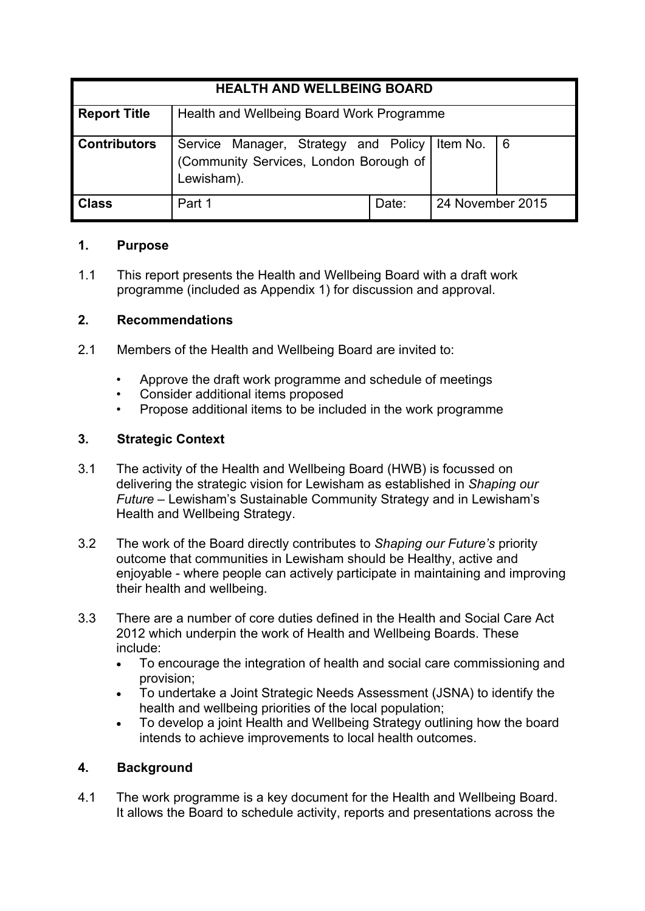| <b>HEALTH AND WELLBEING BOARD</b> |                                                                                              |       |                  |   |
|-----------------------------------|----------------------------------------------------------------------------------------------|-------|------------------|---|
| <b>Report Title</b>               | Health and Wellbeing Board Work Programme                                                    |       |                  |   |
| <b>Contributors</b>               | Service Manager, Strategy and Policy<br>(Community Services, London Borough of<br>Lewisham). |       | Item No.         | 6 |
| <b>Class</b>                      | Part 1                                                                                       | Date: | 24 November 2015 |   |

### **1. Purpose**

1.1 This report presents the Health and Wellbeing Board with a draft work programme (included as Appendix 1) for discussion and approval.

# **2. Recommendations**

- 2.1 Members of the Health and Wellbeing Board are invited to:
	- Approve the draft work programme and schedule of meetings
	- Consider additional items proposed
	- Propose additional items to be included in the work programme

# **3. Strategic Context**

- 3.1 The activity of the Health and Wellbeing Board (HWB) is focussed on delivering the strategic vision for Lewisham as established in *Shaping our Future* – Lewisham's Sustainable Community Strategy and in Lewisham's Health and Wellbeing Strategy.
- 3.2 The work of the Board directly contributes to *Shaping our Future's* priority outcome that communities in Lewisham should be Healthy, active and enjoyable - where people can actively participate in maintaining and improving their health and wellbeing.
- 3.3 There are a number of core duties defined in the Health and Social Care Act 2012 which underpin the work of Health and Wellbeing Boards. These include:
	- To encourage the integration of health and social care commissioning and provision;
	- To undertake a Joint Strategic Needs Assessment (JSNA) to identify the health and wellbeing priorities of the local population;
	- To develop a joint Health and Wellbeing Strategy outlining how the board intends to achieve improvements to local health outcomes.

## **4. Background**

4.1 The work programme is a key document for the Health and Wellbeing Board. It allows the Board to schedule activity, reports and presentations across the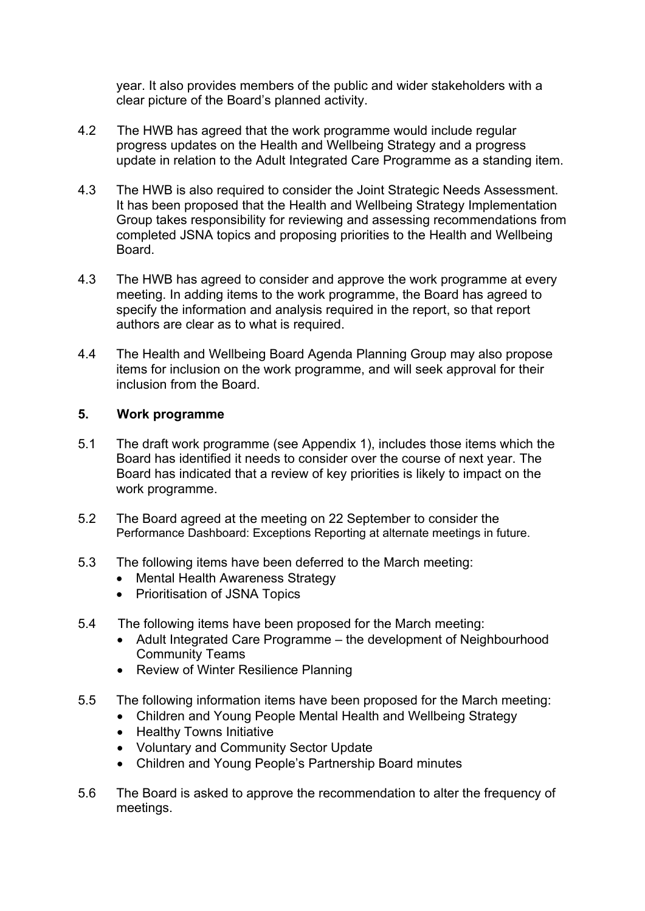year. It also provides members of the public and wider stakeholders with a clear picture of the Board's planned activity.

- 4.2 The HWB has agreed that the work programme would include regular progress updates on the Health and Wellbeing Strategy and a progress update in relation to the Adult Integrated Care Programme as a standing item.
- 4.3 The HWB is also required to consider the Joint Strategic Needs Assessment. It has been proposed that the Health and Wellbeing Strategy Implementation Group takes responsibility for reviewing and assessing recommendations from completed JSNA topics and proposing priorities to the Health and Wellbeing Board.
- 4.3 The HWB has agreed to consider and approve the work programme at every meeting. In adding items to the work programme, the Board has agreed to specify the information and analysis required in the report, so that report authors are clear as to what is required.
- 4.4 The Health and Wellbeing Board Agenda Planning Group may also propose items for inclusion on the work programme, and will seek approval for their inclusion from the Board.

#### **5. Work programme**

- 5.1 The draft work programme (see Appendix 1), includes those items which the Board has identified it needs to consider over the course of next year. The Board has indicated that a review of key priorities is likely to impact on the work programme.
- 5.2 The Board agreed at the meeting on 22 September to consider the Performance Dashboard: Exceptions Reporting at alternate meetings in future.
- 5.3 The following items have been deferred to the March meeting:
	- Mental Health Awareness Strategy
	- Prioritisation of JSNA Topics
- 5.4 The following items have been proposed for the March meeting:
	- Adult Integrated Care Programme the development of Neighbourhood Community Teams
	- Review of Winter Resilience Planning
- 5.5 The following information items have been proposed for the March meeting:
	- Children and Young People Mental Health and Wellbeing Strategy
		- Healthy Towns Initiative
		- Voluntary and Community Sector Update
		- Children and Young People's Partnership Board minutes
- 5.6 The Board is asked to approve the recommendation to alter the frequency of meetings.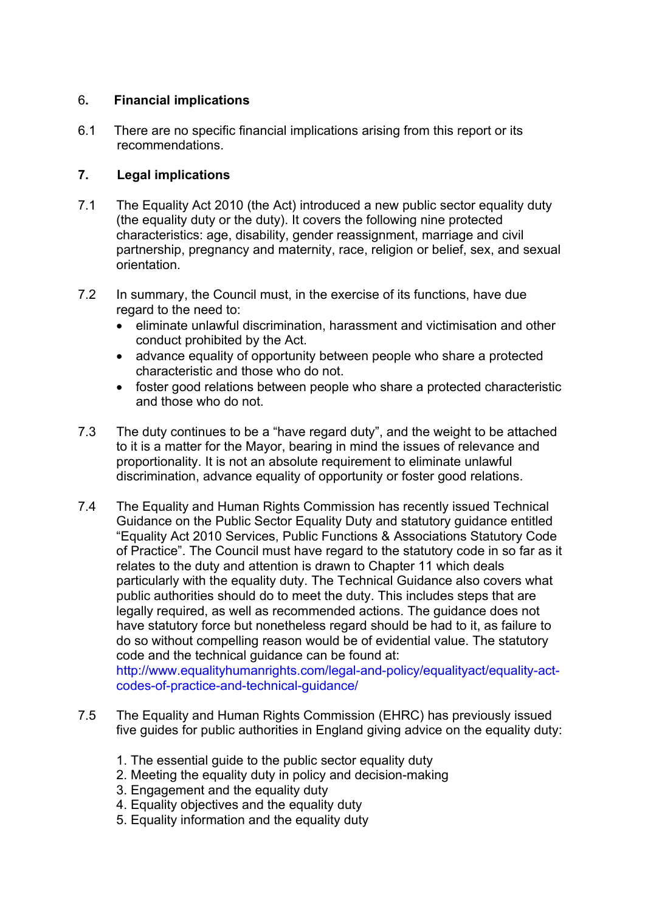## 6**. Financial implications**

6.1 There are no specific financial implications arising from this report or its recommendations.

## **7. Legal implications**

- 7.1 The Equality Act 2010 (the Act) introduced a new public sector equality duty (the equality duty or the duty). It covers the following nine protected characteristics: age, disability, gender reassignment, marriage and civil partnership, pregnancy and maternity, race, religion or belief, sex, and sexual orientation.
- 7.2 In summary, the Council must, in the exercise of its functions, have due regard to the need to:
	- eliminate unlawful discrimination, harassment and victimisation and other conduct prohibited by the Act.
	- advance equality of opportunity between people who share a protected characteristic and those who do not.
	- foster good relations between people who share a protected characteristic and those who do not.
- 7.3 The duty continues to be a "have regard duty", and the weight to be attached to it is a matter for the Mayor, bearing in mind the issues of relevance and proportionality. It is not an absolute requirement to eliminate unlawful discrimination, advance equality of opportunity or foster good relations.
- 7.4 The Equality and Human Rights Commission has recently issued Technical Guidance on the Public Sector Equality Duty and statutory guidance entitled "Equality Act 2010 Services, Public Functions & Associations Statutory Code of Practice". The Council must have regard to the statutory code in so far as it relates to the duty and attention is drawn to Chapter 11 which deals particularly with the equality duty. The Technical Guidance also covers what public authorities should do to meet the duty. This includes steps that are legally required, as well as recommended actions. The guidance does not have statutory force but nonetheless regard should be had to it, as failure to do so without compelling reason would be of evidential value. The statutory code and the technical guidance can be found at:

http://www.equalityhumanrights.com/legal-and-policy/equalityact/equality-actcodes-of-practice-and-technical-guidance/

- 7.5 The Equality and Human Rights Commission (EHRC) has previously issued five guides for public authorities in England giving advice on the equality duty:
	- 1. The essential guide to the public sector equality duty
	- 2. Meeting the equality duty in policy and decision-making
	- 3. Engagement and the equality duty
	- 4. Equality objectives and the equality duty
	- 5. Equality information and the equality duty